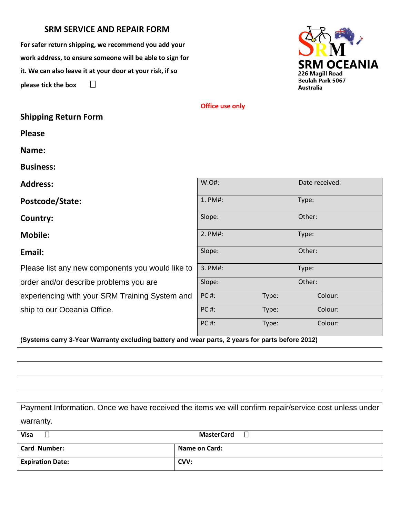## **SRM SERVICE AND REPAIR FORM**

**For safer return shipping, we recommend you add your work address, to ensure someone will be able to sign for it. We can also leave it at your door at your risk, if so please tick the box** 

**Shipping Return Form**



## **Office use only**

| W.O#:       |        | Date received: |
|-------------|--------|----------------|
| 1. PM#:     |        | Type:          |
| Slope:      |        | Other:         |
| 2. PM#:     |        | Type:          |
| Slope:      |        | Other:         |
| 3. PM#:     | Type:  |                |
| Slope:      | Other: |                |
| <b>PC#:</b> | Type:  | Colour:        |
| <b>PC#:</b> | Type:  | Colour:        |
| <b>PC#:</b> | Type:  | Colour:        |
|             |        |                |

**(Systems carry 3-Year Warranty excluding battery and wear parts, 2 years for parts before 2012)**

Payment Information. Once we have received the items we will confirm repair/service cost unless under warranty.

| <b>Visa</b>             | <b>MasterCard</b>    |
|-------------------------|----------------------|
| <b>Card Number:</b>     | <b>Name on Card:</b> |
| <b>Expiration Date:</b> | CVV:                 |